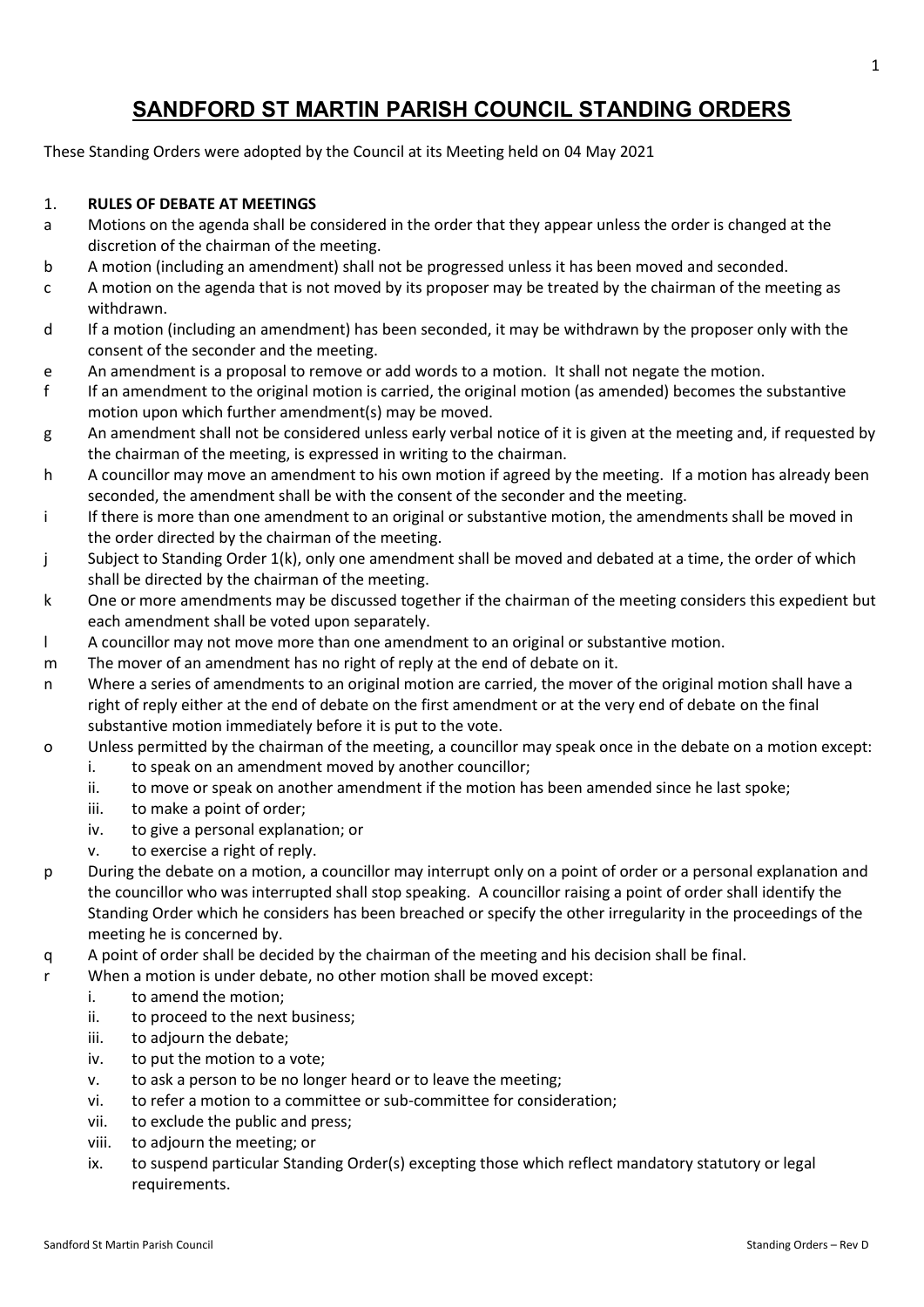# **SANDFORD ST MARTIN PARISH COUNCIL STANDING ORDERS**

These Standing Orders were adopted by the Council at its Meeting held on 04 May 2021

# 1. **RULES OF DEBATE AT MEETINGS**

- a Motions on the agenda shall be considered in the order that they appear unless the order is changed at the discretion of the chairman of the meeting.
- b A motion (including an amendment) shall not be progressed unless it has been moved and seconded.
- c A motion on the agenda that is not moved by its proposer may be treated by the chairman of the meeting as withdrawn.
- d If a motion (including an amendment) has been seconded, it may be withdrawn by the proposer only with the consent of the seconder and the meeting.
- e An amendment is a proposal to remove or add words to a motion. It shall not negate the motion.
- f If an amendment to the original motion is carried, the original motion (as amended) becomes the substantive motion upon which further amendment(s) may be moved.
- g An amendment shall not be considered unless early verbal notice of it is given at the meeting and, if requested by the chairman of the meeting, is expressed in writing to the chairman.
- h A councillor may move an amendment to his own motion if agreed by the meeting. If a motion has already been seconded, the amendment shall be with the consent of the seconder and the meeting.
- i If there is more than one amendment to an original or substantive motion, the amendments shall be moved in the order directed by the chairman of the meeting.
- j Subject to Standing Order 1(k), only one amendment shall be moved and debated at a time, the order of which shall be directed by the chairman of the meeting.
- k One or more amendments may be discussed together if the chairman of the meeting considers this expedient but each amendment shall be voted upon separately.
- l A councillor may not move more than one amendment to an original or substantive motion.
- m The mover of an amendment has no right of reply at the end of debate on it.
- n Where a series of amendments to an original motion are carried, the mover of the original motion shall have a right of reply either at the end of debate on the first amendment or at the very end of debate on the final substantive motion immediately before it is put to the vote.
- o Unless permitted by the chairman of the meeting, a councillor may speak once in the debate on a motion except:
	- i. to speak on an amendment moved by another councillor;
	- ii. to move or speak on another amendment if the motion has been amended since he last spoke;
	- iii. to make a point of order;
	- iv. to give a personal explanation; or
	- v. to exercise a right of reply.
- p During the debate on a motion, a councillor may interrupt only on a point of order or a personal explanation and the councillor who was interrupted shall stop speaking. A councillor raising a point of order shall identify the Standing Order which he considers has been breached or specify the other irregularity in the proceedings of the meeting he is concerned by.
- q A point of order shall be decided by the chairman of the meeting and his decision shall be final.
- r When a motion is under debate, no other motion shall be moved except:
	- i. to amend the motion;
	- ii. to proceed to the next business;
	- iii. to adjourn the debate;
	- iv. to put the motion to a vote;
	- v. to ask a person to be no longer heard or to leave the meeting;
	- vi. to refer a motion to a committee or sub-committee for consideration;
	- vii. to exclude the public and press;
	- viii. to adjourn the meeting; or
	- ix. to suspend particular Standing Order(s) excepting those which reflect mandatory statutory or legal requirements.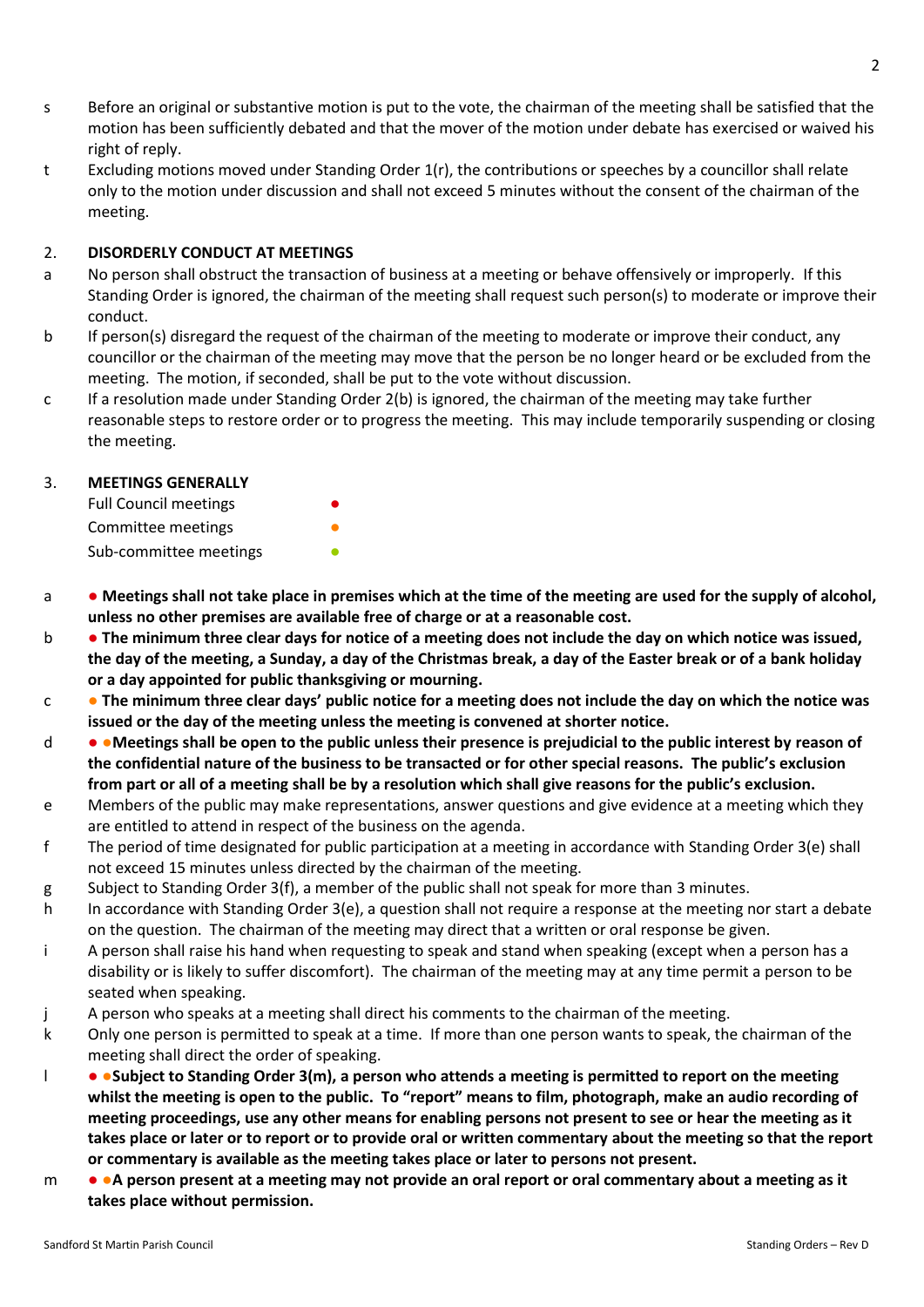- s Before an original or substantive motion is put to the vote, the chairman of the meeting shall be satisfied that the motion has been sufficiently debated and that the mover of the motion under debate has exercised or waived his right of reply.
- t Excluding motions moved under Standing Order 1(r), the contributions or speeches by a councillor shall relate only to the motion under discussion and shall not exceed 5 minutes without the consent of the chairman of the meeting.

### 2. **DISORDERLY CONDUCT AT MEETINGS**

- a No person shall obstruct the transaction of business at a meeting or behave offensively or improperly. If this Standing Order is ignored, the chairman of the meeting shall request such person(s) to moderate or improve their conduct.
- b If person(s) disregard the request of the chairman of the meeting to moderate or improve their conduct, any councillor or the chairman of the meeting may move that the person be no longer heard or be excluded from the meeting. The motion, if seconded, shall be put to the vote without discussion.
- c If a resolution made under Standing Order 2(b) is ignored, the chairman of the meeting may take further reasonable steps to restore order or to progress the meeting. This may include temporarily suspending or closing the meeting.

# 3. **MEETINGS GENERALLY**

| <b>Full Council meetings</b> |  |
|------------------------------|--|
| Committee meetings           |  |
| Sub-committee meetings       |  |

- a **● Meetings shall not take place in premises which at the time of the meeting are used for the supply of alcohol, unless no other premises are available free of charge or at a reasonable cost.**
- b **● The minimum three clear days for notice of a meeting does not include the day on which notice was issued, the day of the meeting, a Sunday, a day of the Christmas break, a day of the Easter break or of a bank holiday or a day appointed for public thanksgiving or mourning.**
- c **● The minimum three clear days' public notice for a meeting does not include the day on which the notice was issued or the day of the meeting unless the meeting is convened at shorter notice.**
- d ●**Meetings shall be open to the public unless their presence is prejudicial to the public interest by reason of the confidential nature of the business to be transacted or for other special reasons. The public's exclusion from part or all of a meeting shall be by a resolution which shall give reasons for the public's exclusion.**
- e Members of the public may make representations, answer questions and give evidence at a meeting which they are entitled to attend in respect of the business on the agenda.
- f The period of time designated for public participation at a meeting in accordance with Standing Order 3(e) shall not exceed 15 minutes unless directed by the chairman of the meeting.
- g Subject to Standing Order 3(f), a member of the public shall not speak for more than 3 minutes.
- h In accordance with Standing Order 3(e), a question shall not require a response at the meeting nor start a debate on the question. The chairman of the meeting may direct that a written or oral response be given.
- i A person shall raise his hand when requesting to speak and stand when speaking (except when a person has a disability or is likely to suffer discomfort). The chairman of the meeting may at any time permit a person to be seated when speaking.
- j A person who speaks at a meeting shall direct his comments to the chairman of the meeting.
- k Only one person is permitted to speak at a time. If more than one person wants to speak, the chairman of the meeting shall direct the order of speaking.
- l ●**Subject to Standing Order 3(m), a person who attends a meeting is permitted to report on the meeting whilst the meeting is open to the public. To "report" means to film, photograph, make an audio recording of meeting proceedings, use any other means for enabling persons not present to see or hear the meeting as it takes place or later or to report or to provide oral or written commentary about the meeting so that the report or commentary is available as the meeting takes place or later to persons not present.**
- m ●**A person present at a meeting may not provide an oral report or oral commentary about a meeting as it takes place without permission.**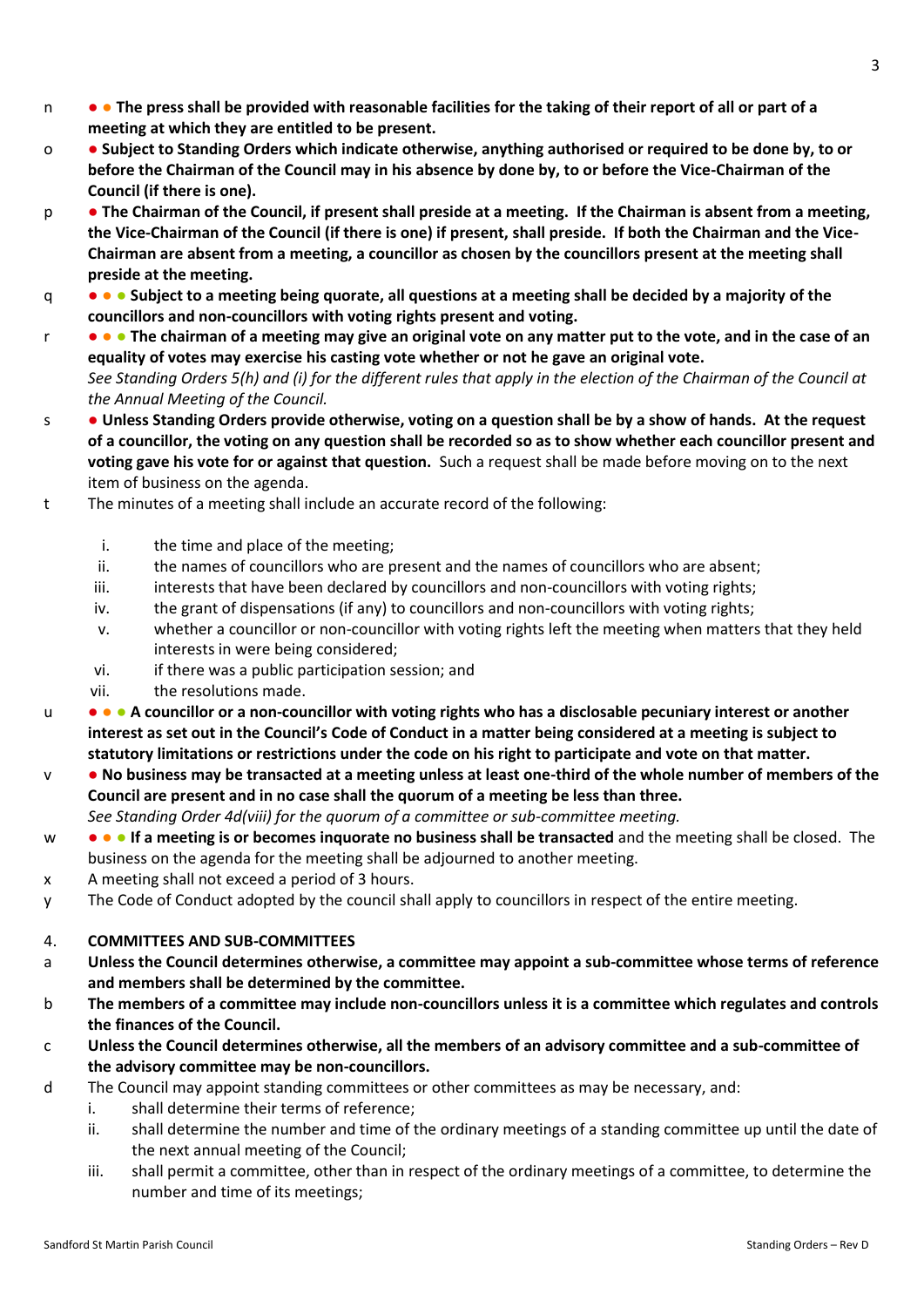- n ● **The press shall be provided with reasonable facilities for the taking of their report of all or part of a meeting at which they are entitled to be present.**
- o **Subject to Standing Orders which indicate otherwise, anything authorised or required to be done by, to or before the Chairman of the Council may in his absence by done by, to or before the Vice-Chairman of the Council (if there is one).**
- p **The Chairman of the Council, if present shall preside at a meeting. If the Chairman is absent from a meeting, the Vice-Chairman of the Council (if there is one) if present, shall preside. If both the Chairman and the Vice-Chairman are absent from a meeting, a councillor as chosen by the councillors present at the meeting shall preside at the meeting.**
- q ● **Subject to a meeting being quorate, all questions at a meeting shall be decided by a majority of the councillors and non-councillors with voting rights present and voting.**
- r ● **The chairman of a meeting may give an original vote on any matter put to the vote, and in the case of an equality of votes may exercise his casting vote whether or not he gave an original vote.** *See Standing Orders 5(h) and (i) for the different rules that apply in the election of the Chairman of the Council at the Annual Meeting of the Council.*
- s **Unless Standing Orders provide otherwise, voting on a question shall be by a show of hands. At the request of a councillor, the voting on any question shall be recorded so as to show whether each councillor present and voting gave his vote for or against that question.** Such a request shall be made before moving on to the next item of business on the agenda.
- t The minutes of a meeting shall include an accurate record of the following:
	- i. the time and place of the meeting;
	- ii. the names of councillors who are present and the names of councillors who are absent;
	- iii. interests that have been declared by councillors and non-councillors with voting rights;
	- iv. the grant of dispensations (if any) to councillors and non-councillors with voting rights;
	- v. whether a councillor or non-councillor with voting rights left the meeting when matters that they held interests in were being considered;
	- vi. if there was a public participation session; and
	- vii. the resolutions made.
- u ● **A councillor or a non-councillor with voting rights who has a disclosable pecuniary interest or another interest as set out in the Council's Code of Conduct in a matter being considered at a meeting is subject to statutory limitations or restrictions under the code on his right to participate and vote on that matter.**
- v **No business may be transacted at a meeting unless at least one-third of the whole number of members of the Council are present and in no case shall the quorum of a meeting be less than three.** *See Standing Order 4d(viii) for the quorum of a committee or sub-committee meeting.*
- w ● **If a meeting is or becomes inquorate no business shall be transacted** and the meeting shall be closed. The business on the agenda for the meeting shall be adjourned to another meeting.
- x A meeting shall not exceed a period of 3 hours.
- y The Code of Conduct adopted by the council shall apply to councillors in respect of the entire meeting.

# 4. **COMMITTEES AND SUB-COMMITTEES**

- a **Unless the Council determines otherwise, a committee may appoint a sub-committee whose terms of reference and members shall be determined by the committee.**
- b **The members of a committee may include non-councillors unless it is a committee which regulates and controls the finances of the Council.**
- c **Unless the Council determines otherwise, all the members of an advisory committee and a sub-committee of the advisory committee may be non-councillors.**
- d The Council may appoint standing committees or other committees as may be necessary, and:
	- i. shall determine their terms of reference;
	- ii. shall determine the number and time of the ordinary meetings of a standing committee up until the date of the next annual meeting of the Council;
	- iii. shall permit a committee, other than in respect of the ordinary meetings of a committee, to determine the number and time of its meetings;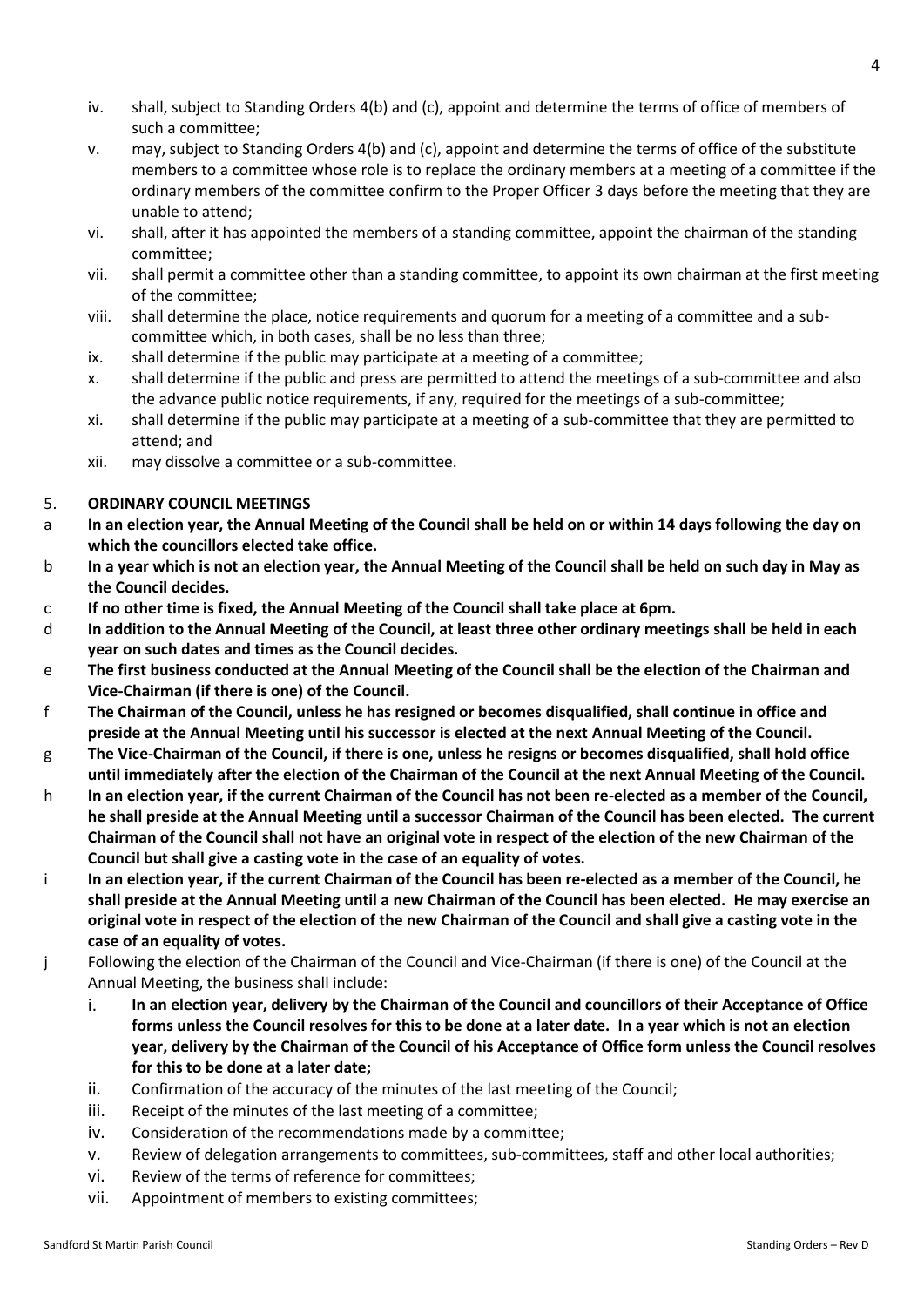- iv. shall, subject to Standing Orders 4(b) and (c), appoint and determine the terms of office of members of such a committee;
- v. may, subject to Standing Orders 4(b) and (c), appoint and determine the terms of office of the substitute members to a committee whose role is to replace the ordinary members at a meeting of a committee if the ordinary members of the committee confirm to the Proper Officer 3 days before the meeting that they are unable to attend;
- vi. shall, after it has appointed the members of a standing committee, appoint the chairman of the standing committee;
- vii. shall permit a committee other than a standing committee, to appoint its own chairman at the first meeting of the committee;
- viii. shall determine the place, notice requirements and quorum for a meeting of a committee and a subcommittee which, in both cases, shall be no less than three;
- ix. shall determine if the public may participate at a meeting of a committee;
- x. shall determine if the public and press are permitted to attend the meetings of a sub-committee and also the advance public notice requirements, if any, required for the meetings of a sub-committee;
- xi. shall determine if the public may participate at a meeting of a sub-committee that they are permitted to attend; and
- xii. may dissolve a committee or a sub-committee.

# 5. **ORDINARY COUNCIL MEETINGS**

- a **In an election year, the Annual Meeting of the Council shall be held on or within 14 days following the day on which the councillors elected take office.**
- b **In a year which is not an election year, the Annual Meeting of the Council shall be held on such day in May as the Council decides.**
- c **If no other time is fixed, the Annual Meeting of the Council shall take place at 6pm.**
- d **In addition to the Annual Meeting of the Council, at least three other ordinary meetings shall be held in each year on such dates and times as the Council decides.**
- e **The first business conducted at the Annual Meeting of the Council shall be the election of the Chairman and Vice-Chairman (if there is one) of the Council.**
- f **The Chairman of the Council, unless he has resigned or becomes disqualified, shall continue in office and preside at the Annual Meeting until his successor is elected at the next Annual Meeting of the Council.**
- g **The Vice-Chairman of the Council, if there is one, unless he resigns or becomes disqualified, shall hold office until immediately after the election of the Chairman of the Council at the next Annual Meeting of the Council.**
- h **In an election year, if the current Chairman of the Council has not been re-elected as a member of the Council, he shall preside at the Annual Meeting until a successor Chairman of the Council has been elected. The current Chairman of the Council shall not have an original vote in respect of the election of the new Chairman of the Council but shall give a casting vote in the case of an equality of votes.**
- i **In an election year, if the current Chairman of the Council has been re-elected as a member of the Council, he shall preside at the Annual Meeting until a new Chairman of the Council has been elected. He may exercise an original vote in respect of the election of the new Chairman of the Council and shall give a casting vote in the case of an equality of votes.**
- j Following the election of the Chairman of the Council and Vice-Chairman (if there is one) of the Council at the Annual Meeting, the business shall include:
	- i. **In an election year, delivery by the Chairman of the Council and councillors of their Acceptance of Office forms unless the Council resolves for this to be done at a later date. In a year which is not an election year, delivery by the Chairman of the Council of his Acceptance of Office form unless the Council resolves for this to be done at a later date;**
	- ii. Confirmation of the accuracy of the minutes of the last meeting of the Council;
	- iii. Receipt of the minutes of the last meeting of a committee;
	- iv. Consideration of the recommendations made by a committee;
	- v. Review of delegation arrangements to committees, sub-committees, staff and other local authorities;
	- vi. Review of the terms of reference for committees;
	- vii. Appointment of members to existing committees;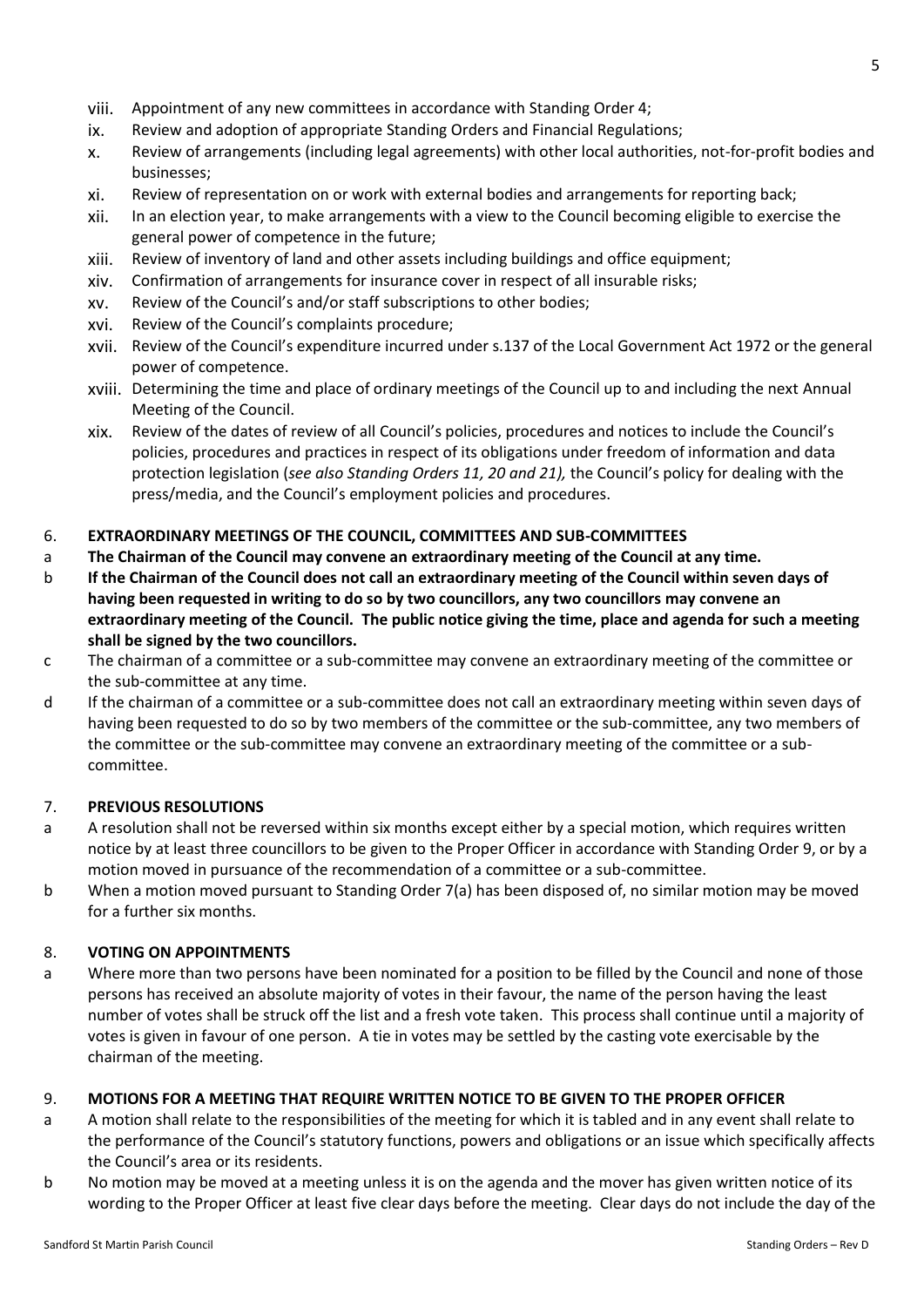- viii. Appointment of any new committees in accordance with Standing Order 4;
- ix. Review and adoption of appropriate Standing Orders and Financial Regulations;
- x. Review of arrangements (including legal agreements) with other local authorities, not-for-profit bodies and businesses;
- xi. Review of representation on or work with external bodies and arrangements for reporting back;
- xii. In an election year, to make arrangements with a view to the Council becoming eligible to exercise the general power of competence in the future;
- xiii. Review of inventory of land and other assets including buildings and office equipment;
- xiv. Confirmation of arrangements for insurance cover in respect of all insurable risks;
- xv. Review of the Council's and/or staff subscriptions to other bodies;
- xvi. Review of the Council's complaints procedure;
- xvii. Review of the Council's expenditure incurred under s.137 of the Local Government Act 1972 or the general power of competence.
- xviii. Determining the time and place of ordinary meetings of the Council up to and including the next Annual Meeting of the Council.
- xix. Review of the dates of review of all Council's policies, procedures and notices to include the Council's policies, procedures and practices in respect of its obligations under freedom of information and data protection legislation (*see also Standing Orders 11, 20 and 21),* the Council's policy for dealing with the press/media, and the Council's employment policies and procedures.

#### 6. **EXTRAORDINARY MEETINGS OF THE COUNCIL, COMMITTEES AND SUB-COMMITTEES**

- a **The Chairman of the Council may convene an extraordinary meeting of the Council at any time.**
- b **If the Chairman of the Council does not call an extraordinary meeting of the Council within seven days of having been requested in writing to do so by two councillors, any two councillors may convene an extraordinary meeting of the Council. The public notice giving the time, place and agenda for such a meeting shall be signed by the two councillors.**
- c The chairman of a committee or a sub-committee may convene an extraordinary meeting of the committee or the sub-committee at any time.
- d If the chairman of a committee or a sub-committee does not call an extraordinary meeting within seven days of having been requested to do so by two members of the committee or the sub-committee, any two members of the committee or the sub-committee may convene an extraordinary meeting of the committee or a subcommittee.

### 7. **PREVIOUS RESOLUTIONS**

- a A resolution shall not be reversed within six months except either by a special motion, which requires written notice by at least three councillors to be given to the Proper Officer in accordance with Standing Order 9, or by a motion moved in pursuance of the recommendation of a committee or a sub-committee.
- b When a motion moved pursuant to Standing Order 7(a) has been disposed of, no similar motion may be moved for a further six months.

#### 8. **VOTING ON APPOINTMENTS**

a Where more than two persons have been nominated for a position to be filled by the Council and none of those persons has received an absolute majority of votes in their favour, the name of the person having the least number of votes shall be struck off the list and a fresh vote taken. This process shall continue until a majority of votes is given in favour of one person. A tie in votes may be settled by the casting vote exercisable by the chairman of the meeting.

#### 9. **MOTIONS FOR A MEETING THAT REQUIRE WRITTEN NOTICE TO BE GIVEN TO THE PROPER OFFICER**

- a A motion shall relate to the responsibilities of the meeting for which it is tabled and in any event shall relate to the performance of the Council's statutory functions, powers and obligations or an issue which specifically affects the Council's area or its residents.
- b No motion may be moved at a meeting unless it is on the agenda and the mover has given written notice of its wording to the Proper Officer at least five clear days before the meeting. Clear days do not include the day of the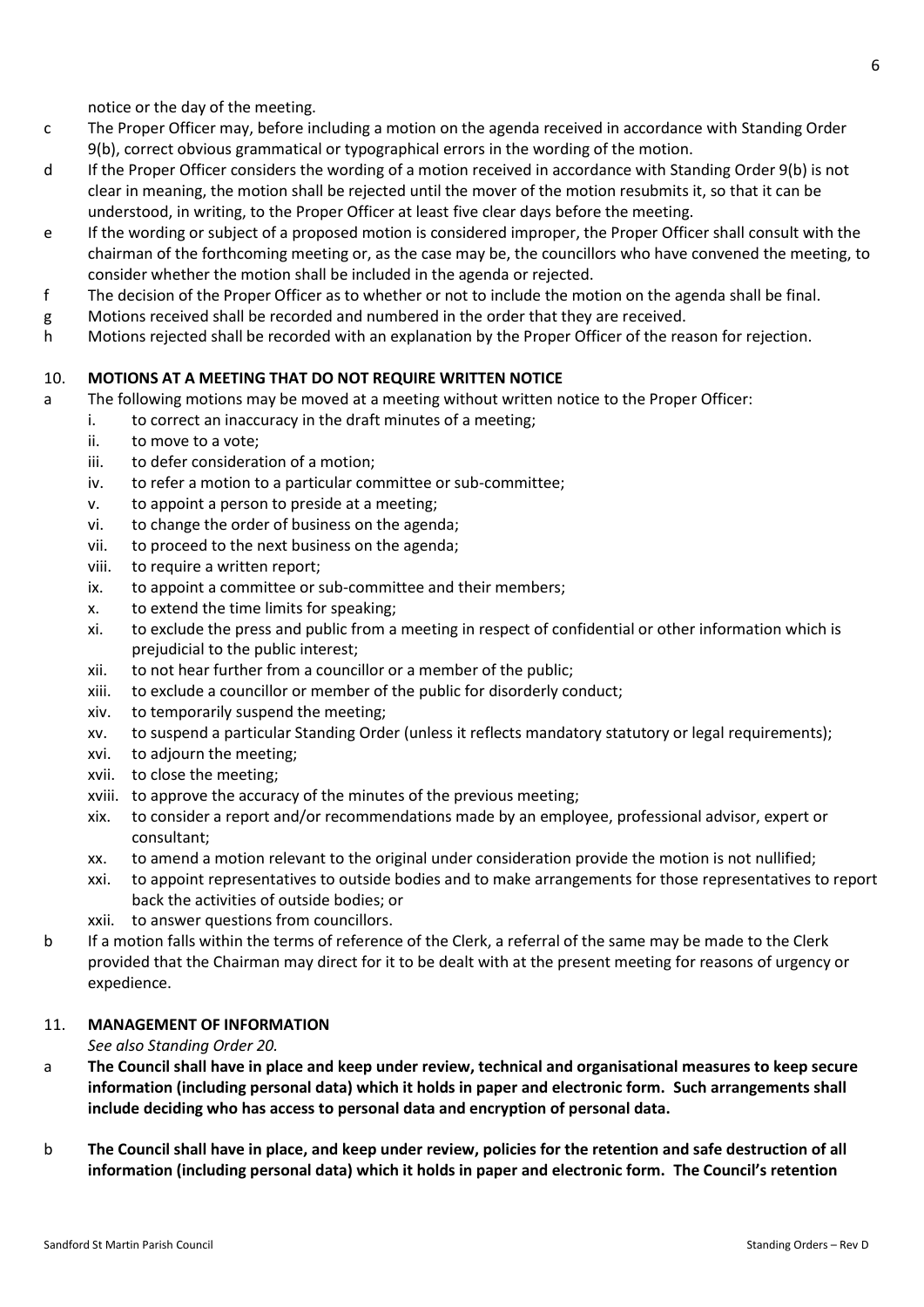notice or the day of the meeting.

- c The Proper Officer may, before including a motion on the agenda received in accordance with Standing Order 9(b), correct obvious grammatical or typographical errors in the wording of the motion.
- d If the Proper Officer considers the wording of a motion received in accordance with Standing Order 9(b) is not clear in meaning, the motion shall be rejected until the mover of the motion resubmits it, so that it can be understood, in writing, to the Proper Officer at least five clear days before the meeting.
- e If the wording or subject of a proposed motion is considered improper, the Proper Officer shall consult with the chairman of the forthcoming meeting or, as the case may be, the councillors who have convened the meeting, to consider whether the motion shall be included in the agenda or rejected.
- f The decision of the Proper Officer as to whether or not to include the motion on the agenda shall be final.
- g Motions received shall be recorded and numbered in the order that they are received.
- h Motions rejected shall be recorded with an explanation by the Proper Officer of the reason for rejection.

#### 10. **MOTIONS AT A MEETING THAT DO NOT REQUIRE WRITTEN NOTICE**

- a The following motions may be moved at a meeting without written notice to the Proper Officer:
	- i. to correct an inaccuracy in the draft minutes of a meeting;
	- ii. to move to a vote;
	- iii. to defer consideration of a motion;
	- iv. to refer a motion to a particular committee or sub-committee;
	- v. to appoint a person to preside at a meeting;
	- vi. to change the order of business on the agenda;
	- vii. to proceed to the next business on the agenda;
	- viii. to require a written report;
	- ix. to appoint a committee or sub-committee and their members;
	- x. to extend the time limits for speaking;
	- xi. to exclude the press and public from a meeting in respect of confidential or other information which is prejudicial to the public interest;
	- xii. to not hear further from a councillor or a member of the public;
	- xiii. to exclude a councillor or member of the public for disorderly conduct;
	- xiv. to temporarily suspend the meeting;
	- xv. to suspend a particular Standing Order (unless it reflects mandatory statutory or legal requirements);
	- xvi. to adjourn the meeting;
	- xvii. to close the meeting;
	- xviii. to approve the accuracy of the minutes of the previous meeting;
	- xix. to consider a report and/or recommendations made by an employee, professional advisor, expert or consultant;
	- xx. to amend a motion relevant to the original under consideration provide the motion is not nullified;
	- xxi. to appoint representatives to outside bodies and to make arrangements for those representatives to report back the activities of outside bodies; or
	- xxii. to answer questions from councillors.
- b If a motion falls within the terms of reference of the Clerk, a referral of the same may be made to the Clerk provided that the Chairman may direct for it to be dealt with at the present meeting for reasons of urgency or expedience.

#### 11. **MANAGEMENT OF INFORMATION**

*See also Standing Order 20.*

- a **The Council shall have in place and keep under review, technical and organisational measures to keep secure information (including personal data) which it holds in paper and electronic form. Such arrangements shall include deciding who has access to personal data and encryption of personal data.**
- b **The Council shall have in place, and keep under review, policies for the retention and safe destruction of all information (including personal data) which it holds in paper and electronic form. The Council's retention**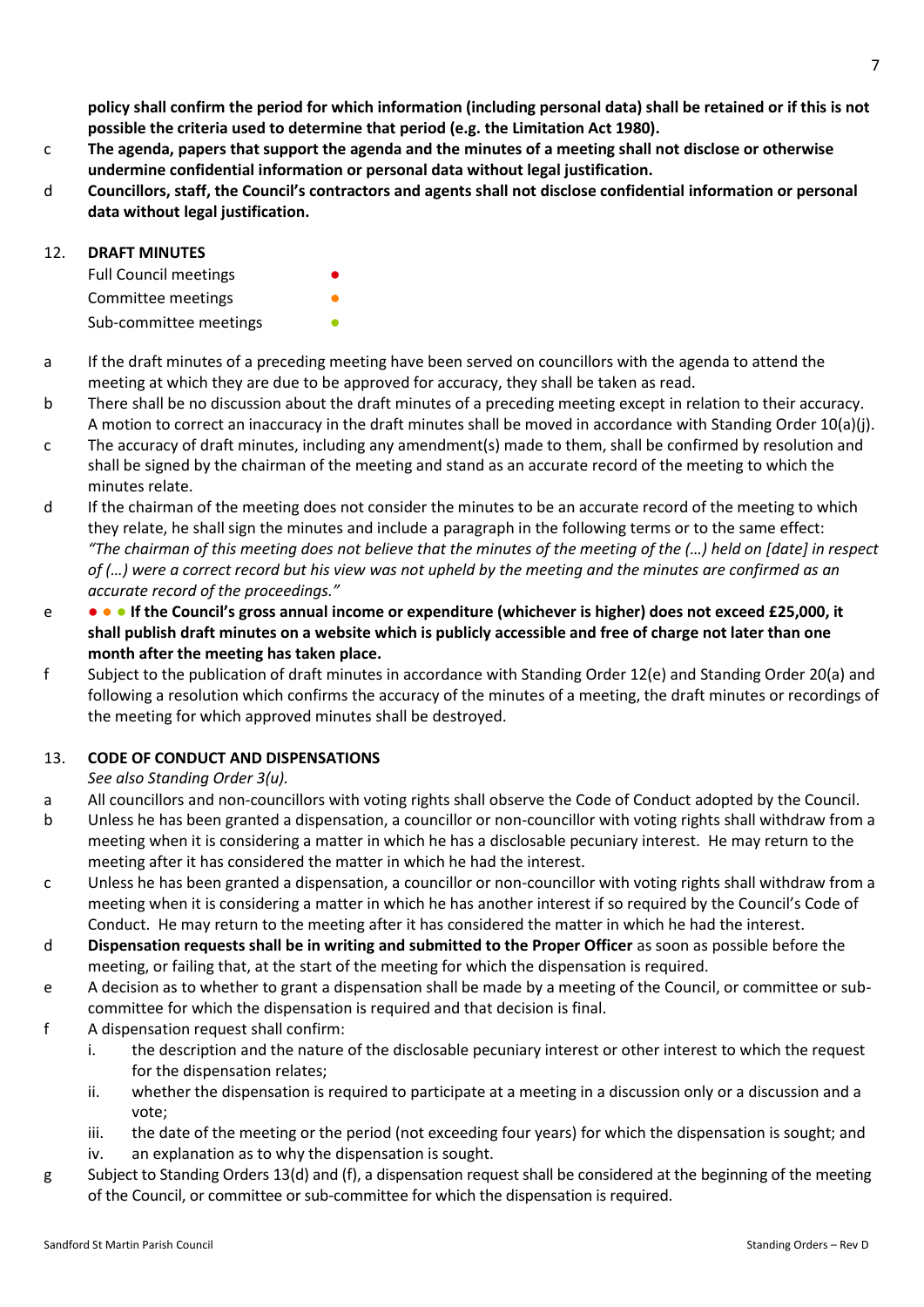**policy shall confirm the period for which information (including personal data) shall be retained or if this is not possible the criteria used to determine that period (e.g. the Limitation Act 1980).**

- c **The agenda, papers that support the agenda and the minutes of a meeting shall not disclose or otherwise undermine confidential information or personal data without legal justification.**
- d **Councillors, staff, the Council's contractors and agents shall not disclose confidential information or personal data without legal justification.**

# 12. **DRAFT MINUTES**

Full Council meetings Committee meetings **Committee** meetings Sub-committee meetings

- a If the draft minutes of a preceding meeting have been served on councillors with the agenda to attend the meeting at which they are due to be approved for accuracy, they shall be taken as read.
- b There shall be no discussion about the draft minutes of a preceding meeting except in relation to their accuracy. A motion to correct an inaccuracy in the draft minutes shall be moved in accordance with Standing Order 10(a)(j).
- c The accuracy of draft minutes, including any amendment(s) made to them, shall be confirmed by resolution and shall be signed by the chairman of the meeting and stand as an accurate record of the meeting to which the minutes relate.
- d If the chairman of the meeting does not consider the minutes to be an accurate record of the meeting to which they relate, he shall sign the minutes and include a paragraph in the following terms or to the same effect: *"The chairman of this meeting does not believe that the minutes of the meeting of the (…) held on [date] in respect of (…) were a correct record but his view was not upheld by the meeting and the minutes are confirmed as an accurate record of the proceedings."*
- e ● **If the Council's gross annual income or expenditure (whichever is higher) does not exceed £25,000, it shall publish draft minutes on a website which is publicly accessible and free of charge not later than one month after the meeting has taken place.**
- f Subject to the publication of draft minutes in accordance with Standing Order 12(e) and Standing Order 20(a) and following a resolution which confirms the accuracy of the minutes of a meeting, the draft minutes or recordings of the meeting for which approved minutes shall be destroyed.

# 13. **CODE OF CONDUCT AND DISPENSATIONS**

*See also Standing Order 3(u).*

- a All councillors and non-councillors with voting rights shall observe the Code of Conduct adopted by the Council.
- b Unless he has been granted a dispensation, a councillor or non-councillor with voting rights shall withdraw from a meeting when it is considering a matter in which he has a disclosable pecuniary interest. He may return to the meeting after it has considered the matter in which he had the interest.
- c Unless he has been granted a dispensation, a councillor or non-councillor with voting rights shall withdraw from a meeting when it is considering a matter in which he has another interest if so required by the Council's Code of Conduct. He may return to the meeting after it has considered the matter in which he had the interest.
- d **Dispensation requests shall be in writing and submitted to the Proper Officer** as soon as possible before the meeting, or failing that, at the start of the meeting for which the dispensation is required.
- e A decision as to whether to grant a dispensation shall be made by a meeting of the Council, or committee or subcommittee for which the dispensation is required and that decision is final.
- f A dispensation request shall confirm:
	- i. the description and the nature of the disclosable pecuniary interest or other interest to which the request for the dispensation relates;
	- ii. whether the dispensation is required to participate at a meeting in a discussion only or a discussion and a vote;
	- iii. the date of the meeting or the period (not exceeding four years) for which the dispensation is sought; and
	- iv. an explanation as to why the dispensation is sought.
- g Subject to Standing Orders 13(d) and (f), a dispensation request shall be considered at the beginning of the meeting of the Council, or committee or sub-committee for which the dispensation is required.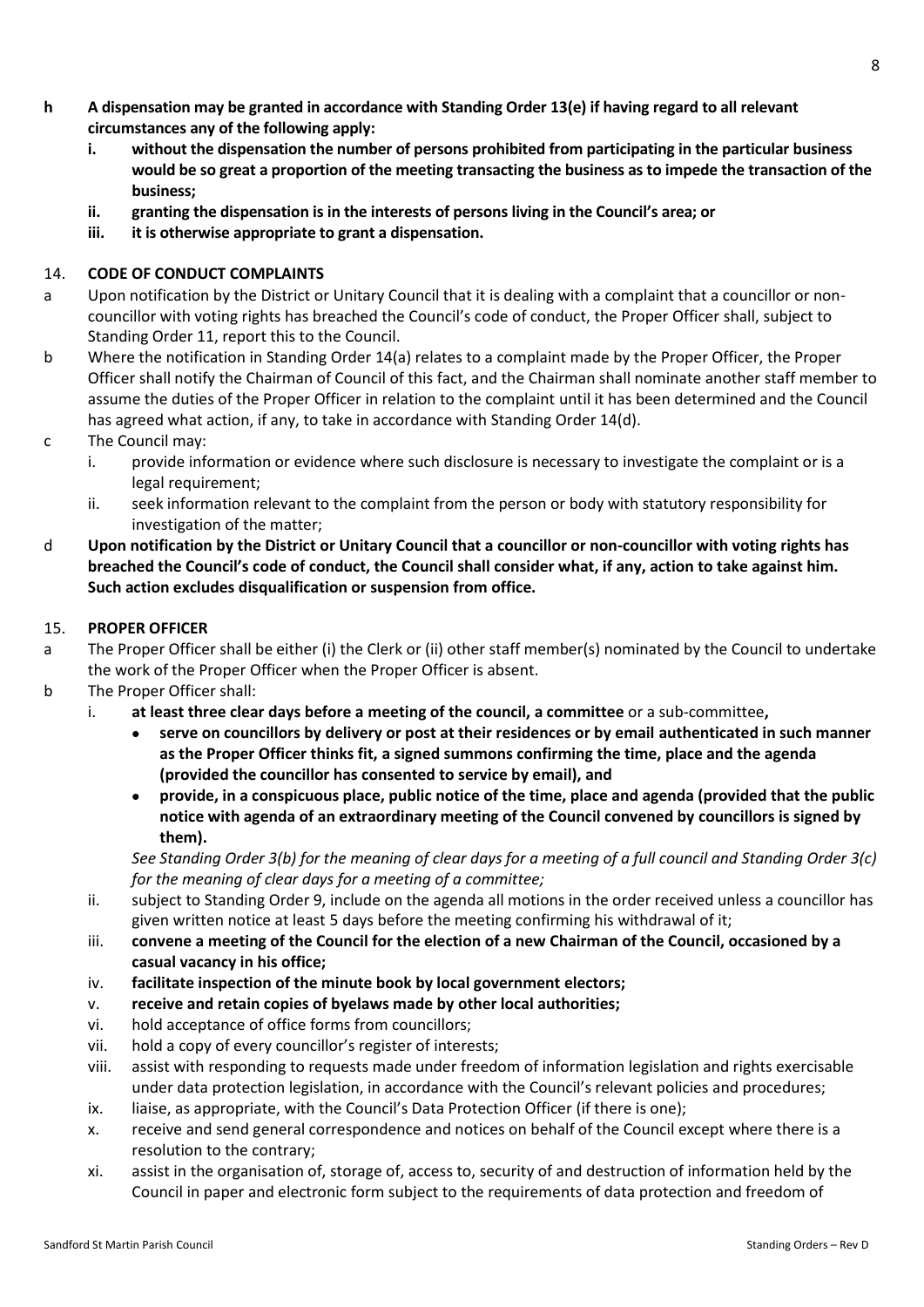- **h A dispensation may be granted in accordance with Standing Order 13(e) if having regard to all relevant circumstances any of the following apply:**
	- **i. without the dispensation the number of persons prohibited from participating in the particular business would be so great a proportion of the meeting transacting the business as to impede the transaction of the business;**
	- **ii. granting the dispensation is in the interests of persons living in the Council's area; or**
	- **iii. it is otherwise appropriate to grant a dispensation.**

# 14. **CODE OF CONDUCT COMPLAINTS**

- a Upon notification by the District or Unitary Council that it is dealing with a complaint that a councillor or noncouncillor with voting rights has breached the Council's code of conduct, the Proper Officer shall, subject to Standing Order 11, report this to the Council.
- b Where the notification in Standing Order 14(a) relates to a complaint made by the Proper Officer, the Proper Officer shall notify the Chairman of Council of this fact, and the Chairman shall nominate another staff member to assume the duties of the Proper Officer in relation to the complaint until it has been determined and the Council has agreed what action, if any, to take in accordance with Standing Order 14(d).
- c The Council may:
	- i. provide information or evidence where such disclosure is necessary to investigate the complaint or is a legal requirement;
	- ii. seek information relevant to the complaint from the person or body with statutory responsibility for investigation of the matter;
- d **Upon notification by the District or Unitary Council that a councillor or non-councillor with voting rights has breached the Council's code of conduct, the Council shall consider what, if any, action to take against him. Such action excludes disqualification or suspension from office.**

# 15. **PROPER OFFICER**

- a The Proper Officer shall be either (i) the Clerk or (ii) other staff member(s) nominated by the Council to undertake the work of the Proper Officer when the Proper Officer is absent.
- b The Proper Officer shall:
	- i. **at least three clear days before a meeting of the council, a committee** or a sub-committee**,**
		- **serve on councillors by delivery or post at their residences or by email authenticated in such manner as the Proper Officer thinks fit, a signed summons confirming the time, place and the agenda (provided the councillor has consented to service by email), and**
		- **provide, in a conspicuous place, public notice of the time, place and agenda (provided that the public notice with agenda of an extraordinary meeting of the Council convened by councillors is signed by them).**

*See Standing Order 3(b) for the meaning of clear days for a meeting of a full council and Standing Order 3(c) for the meaning of clear days for a meeting of a committee;*

- ii. subject to Standing Order 9, include on the agenda all motions in the order received unless a councillor has given written notice at least 5 days before the meeting confirming his withdrawal of it;
- iii. **convene a meeting of the Council for the election of a new Chairman of the Council, occasioned by a casual vacancy in his office;**
- iv. **facilitate inspection of the minute book by local government electors;**
- v. **receive and retain copies of byelaws made by other local authorities;**
- vi. hold acceptance of office forms from councillors;
- vii. hold a copy of every councillor's register of interests;
- viii. assist with responding to requests made under freedom of information legislation and rights exercisable under data protection legislation, in accordance with the Council's relevant policies and procedures;
- ix. liaise, as appropriate, with the Council's Data Protection Officer (if there is one);
- x. receive and send general correspondence and notices on behalf of the Council except where there is a resolution to the contrary;
- xi. assist in the organisation of, storage of, access to, security of and destruction of information held by the Council in paper and electronic form subject to the requirements of data protection and freedom of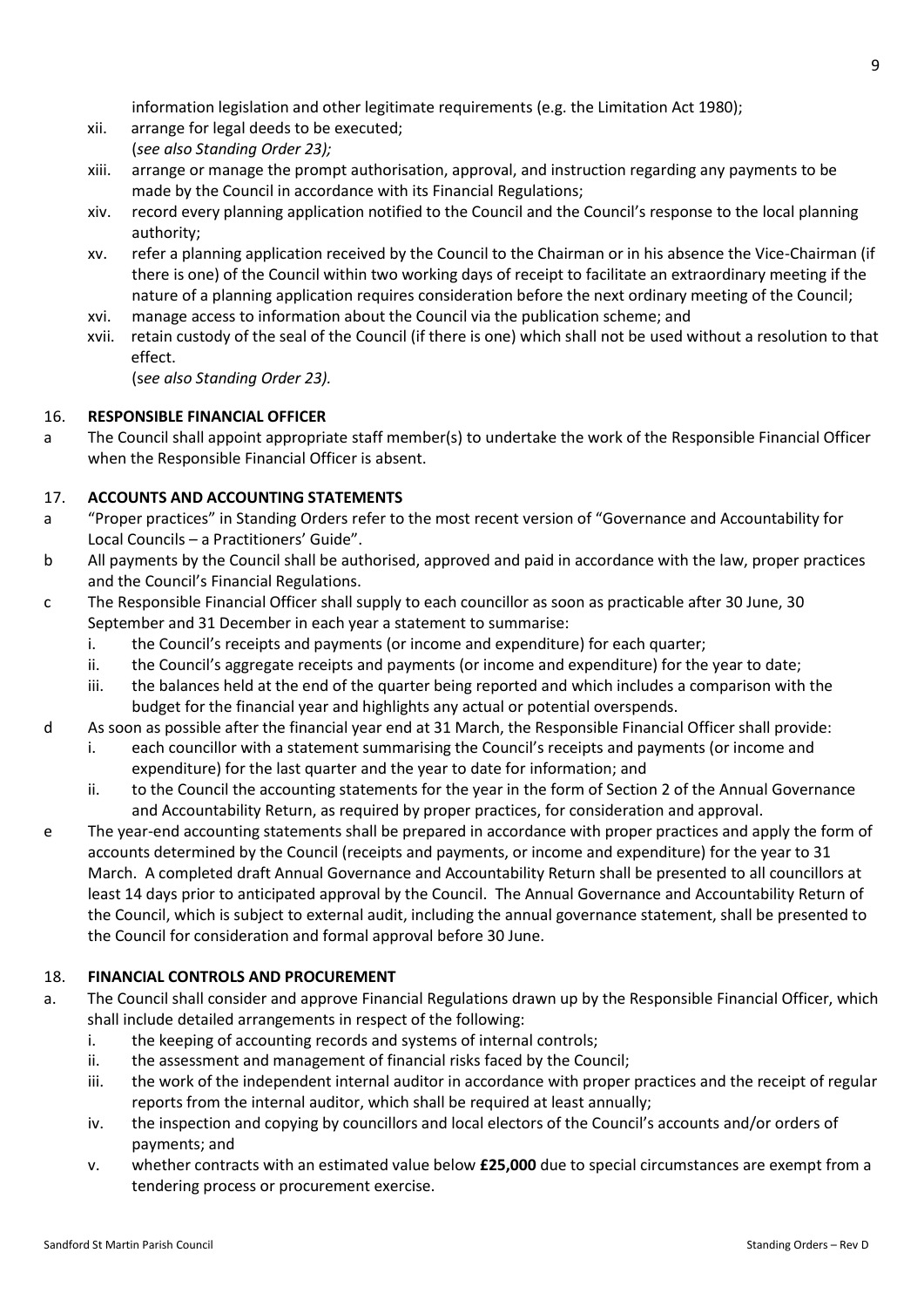information legislation and other legitimate requirements (e.g. the Limitation Act 1980);

- xii. arrange for legal deeds to be executed;
- (*see also Standing Order 23);*
- xiii. arrange or manage the prompt authorisation, approval, and instruction regarding any payments to be made by the Council in accordance with its Financial Regulations;
- xiv. record every planning application notified to the Council and the Council's response to the local planning authority;
- xv. refer a planning application received by the Council to the Chairman or in his absence the Vice-Chairman (if there is one) of the Council within two working days of receipt to facilitate an extraordinary meeting if the nature of a planning application requires consideration before the next ordinary meeting of the Council;
- xvi. manage access to information about the Council via the publication scheme; and
- xvii. retain custody of the seal of the Council (if there is one) which shall not be used without a resolution to that effect.

(s*ee also Standing Order 23).*

# 16. **RESPONSIBLE FINANCIAL OFFICER**

a The Council shall appoint appropriate staff member(s) to undertake the work of the Responsible Financial Officer when the Responsible Financial Officer is absent.

# 17. **ACCOUNTS AND ACCOUNTING STATEMENTS**

- a "Proper practices" in Standing Orders refer to the most recent version of "Governance and Accountability for Local Councils – a Practitioners' Guide".
- b All payments by the Council shall be authorised, approved and paid in accordance with the law, proper practices and the Council's Financial Regulations.
- c The Responsible Financial Officer shall supply to each councillor as soon as practicable after 30 June, 30 September and 31 December in each year a statement to summarise:
	- i. the Council's receipts and payments (or income and expenditure) for each quarter;
	- ii. the Council's aggregate receipts and payments (or income and expenditure) for the year to date;
	- iii. the balances held at the end of the quarter being reported and which includes a comparison with the budget for the financial year and highlights any actual or potential overspends.
- d As soon as possible after the financial year end at 31 March, the Responsible Financial Officer shall provide:
	- i. each councillor with a statement summarising the Council's receipts and payments (or income and expenditure) for the last quarter and the year to date for information; and
	- ii. to the Council the accounting statements for the year in the form of Section 2 of the Annual Governance and Accountability Return, as required by proper practices, for consideration and approval.
- e The year-end accounting statements shall be prepared in accordance with proper practices and apply the form of accounts determined by the Council (receipts and payments, or income and expenditure) for the year to 31 March. A completed draft Annual Governance and Accountability Return shall be presented to all councillors at least 14 days prior to anticipated approval by the Council. The Annual Governance and Accountability Return of the Council, which is subject to external audit, including the annual governance statement, shall be presented to the Council for consideration and formal approval before 30 June.

# 18. **FINANCIAL CONTROLS AND PROCUREMENT**

- a. The Council shall consider and approve Financial Regulations drawn up by the Responsible Financial Officer, which shall include detailed arrangements in respect of the following:
	- i. the keeping of accounting records and systems of internal controls;
	- ii. the assessment and management of financial risks faced by the Council;
	- iii. the work of the independent internal auditor in accordance with proper practices and the receipt of regular reports from the internal auditor, which shall be required at least annually;
	- iv. the inspection and copying by councillors and local electors of the Council's accounts and/or orders of payments; and
	- v. whether contracts with an estimated value below **£25,000** due to special circumstances are exempt from a tendering process or procurement exercise.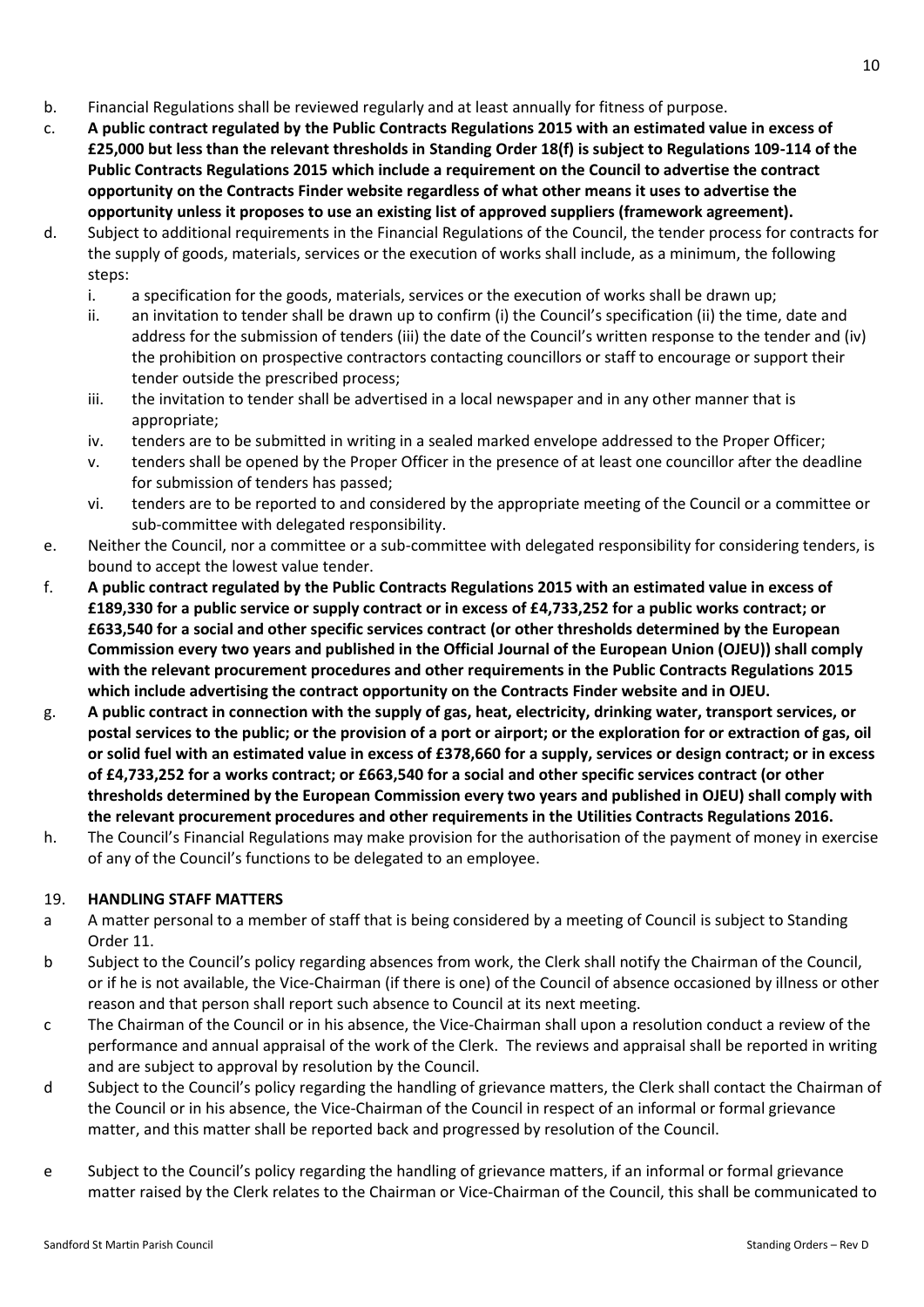- b. Financial Regulations shall be reviewed regularly and at least annually for fitness of purpose.
- c. **A public contract regulated by the Public Contracts Regulations 2015 with an estimated value in excess of £25,000 but less than the relevant thresholds in Standing Order 18(f) is subject to Regulations 109-114 of the Public Contracts Regulations 2015 which include a requirement on the Council to advertise the contract opportunity on the Contracts Finder website regardless of what other means it uses to advertise the opportunity unless it proposes to use an existing list of approved suppliers (framework agreement).**
- d. Subject to additional requirements in the Financial Regulations of the Council, the tender process for contracts for the supply of goods, materials, services or the execution of works shall include, as a minimum, the following steps:
	- i. a specification for the goods, materials, services or the execution of works shall be drawn up;
	- ii. an invitation to tender shall be drawn up to confirm (i) the Council's specification (ii) the time, date and address for the submission of tenders (iii) the date of the Council's written response to the tender and (iv) the prohibition on prospective contractors contacting councillors or staff to encourage or support their tender outside the prescribed process;
	- iii. the invitation to tender shall be advertised in a local newspaper and in any other manner that is appropriate;
	- iv. tenders are to be submitted in writing in a sealed marked envelope addressed to the Proper Officer;
	- v. tenders shall be opened by the Proper Officer in the presence of at least one councillor after the deadline for submission of tenders has passed;
	- vi. tenders are to be reported to and considered by the appropriate meeting of the Council or a committee or sub-committee with delegated responsibility.
- e. Neither the Council, nor a committee or a sub-committee with delegated responsibility for considering tenders, is bound to accept the lowest value tender.
- f. **A public contract regulated by the Public Contracts Regulations 2015 with an estimated value in excess of £189,330 for a public service or supply contract or in excess of £4,733,252 for a public works contract; or £633,540 for a social and other specific services contract (or other thresholds determined by the European Commission every two years and published in the Official Journal of the European Union (OJEU)) shall comply with the relevant procurement procedures and other requirements in the Public Contracts Regulations 2015 which include advertising the contract opportunity on the Contracts Finder website and in OJEU.**
- g. **A public contract in connection with the supply of gas, heat, electricity, drinking water, transport services, or postal services to the public; or the provision of a port or airport; or the exploration for or extraction of gas, oil or solid fuel with an estimated value in excess of £378,660 for a supply, services or design contract; or in excess of £4,733,252 for a works contract; or £663,540 for a social and other specific services contract (or other thresholds determined by the European Commission every two years and published in OJEU) shall comply with the relevant procurement procedures and other requirements in the Utilities Contracts Regulations 2016.**
- h. The Council's Financial Regulations may make provision for the authorisation of the payment of money in exercise of any of the Council's functions to be delegated to an employee.

# 19. **HANDLING STAFF MATTERS**

- a A matter personal to a member of staff that is being considered by a meeting of Council is subject to Standing Order 11.
- b Subject to the Council's policy regarding absences from work, the Clerk shall notify the Chairman of the Council, or if he is not available, the Vice-Chairman (if there is one) of the Council of absence occasioned by illness or other reason and that person shall report such absence to Council at its next meeting.
- c The Chairman of the Council or in his absence, the Vice-Chairman shall upon a resolution conduct a review of the performance and annual appraisal of the work of the Clerk. The reviews and appraisal shall be reported in writing and are subject to approval by resolution by the Council.
- d Subject to the Council's policy regarding the handling of grievance matters, the Clerk shall contact the Chairman of the Council or in his absence, the Vice-Chairman of the Council in respect of an informal or formal grievance matter, and this matter shall be reported back and progressed by resolution of the Council.
- e Subject to the Council's policy regarding the handling of grievance matters, if an informal or formal grievance matter raised by the Clerk relates to the Chairman or Vice-Chairman of the Council, this shall be communicated to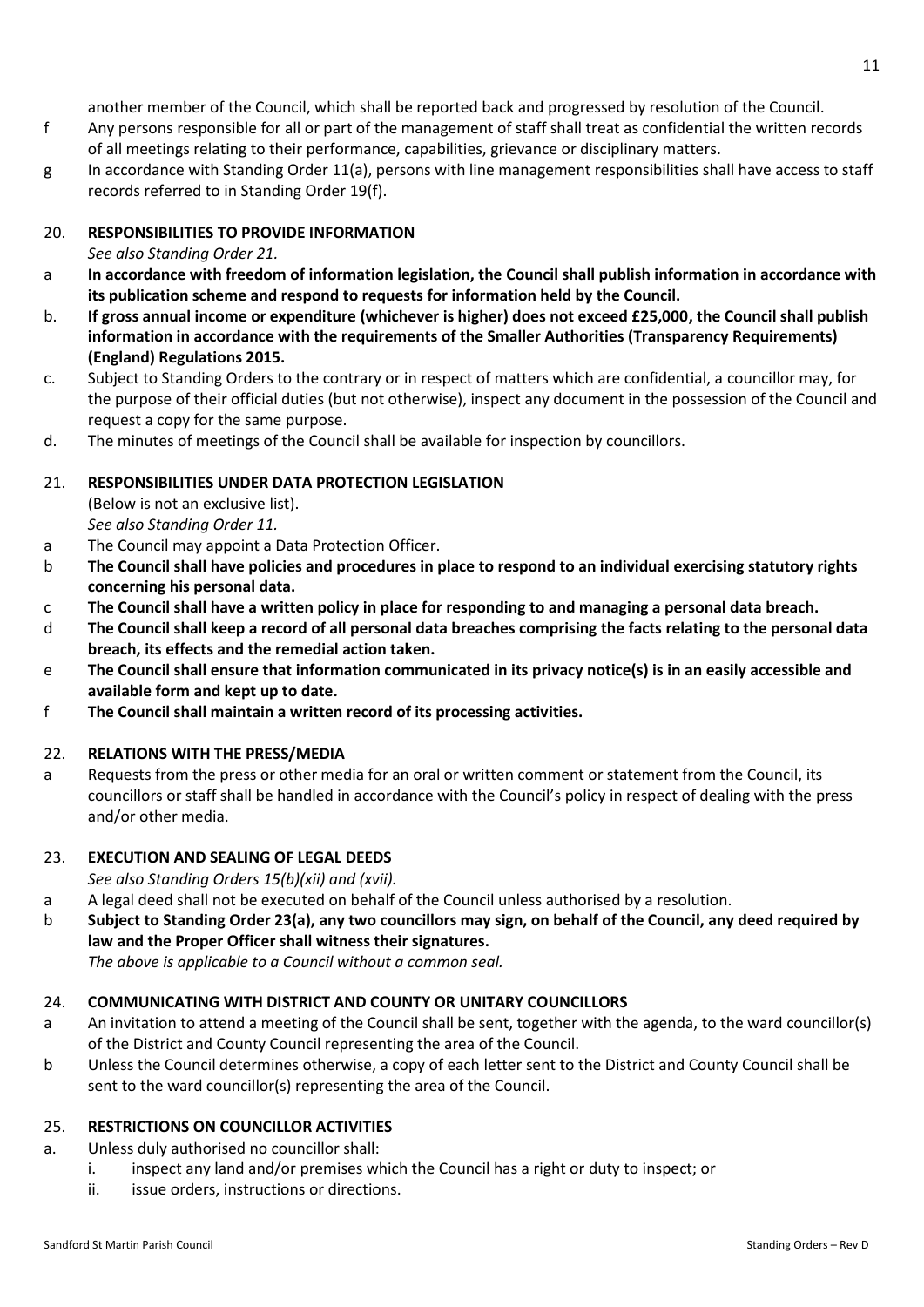another member of the Council, which shall be reported back and progressed by resolution of the Council.

- f Any persons responsible for all or part of the management of staff shall treat as confidential the written records of all meetings relating to their performance, capabilities, grievance or disciplinary matters.
- g In accordance with Standing Order 11(a), persons with line management responsibilities shall have access to staff records referred to in Standing Order 19(f).

# 20. **RESPONSIBILITIES TO PROVIDE INFORMATION**

# *See also Standing Order 21.*

- a **In accordance with freedom of information legislation, the Council shall publish information in accordance with its publication scheme and respond to requests for information held by the Council.**
- b. **If gross annual income or expenditure (whichever is higher) does not exceed £25,000, the Council shall publish information in accordance with the requirements of the Smaller Authorities (Transparency Requirements) (England) Regulations 2015.**
- c. Subject to Standing Orders to the contrary or in respect of matters which are confidential, a councillor may, for the purpose of their official duties (but not otherwise), inspect any document in the possession of the Council and request a copy for the same purpose.
- d. The minutes of meetings of the Council shall be available for inspection by councillors.

# 21. **RESPONSIBILITIES UNDER DATA PROTECTION LEGISLATION**

(Below is not an exclusive list). *See also Standing Order 11.*

- a The Council may appoint a Data Protection Officer.
- b **The Council shall have policies and procedures in place to respond to an individual exercising statutory rights concerning his personal data.**
- c **The Council shall have a written policy in place for responding to and managing a personal data breach.**
- d **The Council shall keep a record of all personal data breaches comprising the facts relating to the personal data breach, its effects and the remedial action taken.**
- e **The Council shall ensure that information communicated in its privacy notice(s) is in an easily accessible and available form and kept up to date.**
- f **The Council shall maintain a written record of its processing activities.**

# 22. **RELATIONS WITH THE PRESS/MEDIA**

a Requests from the press or other media for an oral or written comment or statement from the Council, its councillors or staff shall be handled in accordance with the Council's policy in respect of dealing with the press and/or other media.

# 23. **EXECUTION AND SEALING OF LEGAL DEEDS**

*See also Standing Orders 15(b)(xii) and (xvii).*

- a A legal deed shall not be executed on behalf of the Council unless authorised by a resolution.
- b **Subject to Standing Order 23(a), any two councillors may sign, on behalf of the Council, any deed required by law and the Proper Officer shall witness their signatures.** *The above is applicable to a Council without a common seal.*

### 24. **COMMUNICATING WITH DISTRICT AND COUNTY OR UNITARY COUNCILLORS**

- a An invitation to attend a meeting of the Council shall be sent, together with the agenda, to the ward councillor(s) of the District and County Council representing the area of the Council.
- b Unless the Council determines otherwise, a copy of each letter sent to the District and County Council shall be sent to the ward councillor(s) representing the area of the Council.

### 25. **RESTRICTIONS ON COUNCILLOR ACTIVITIES**

- a. Unless duly authorised no councillor shall:
	- i. inspect any land and/or premises which the Council has a right or duty to inspect; or
	- ii. issue orders, instructions or directions.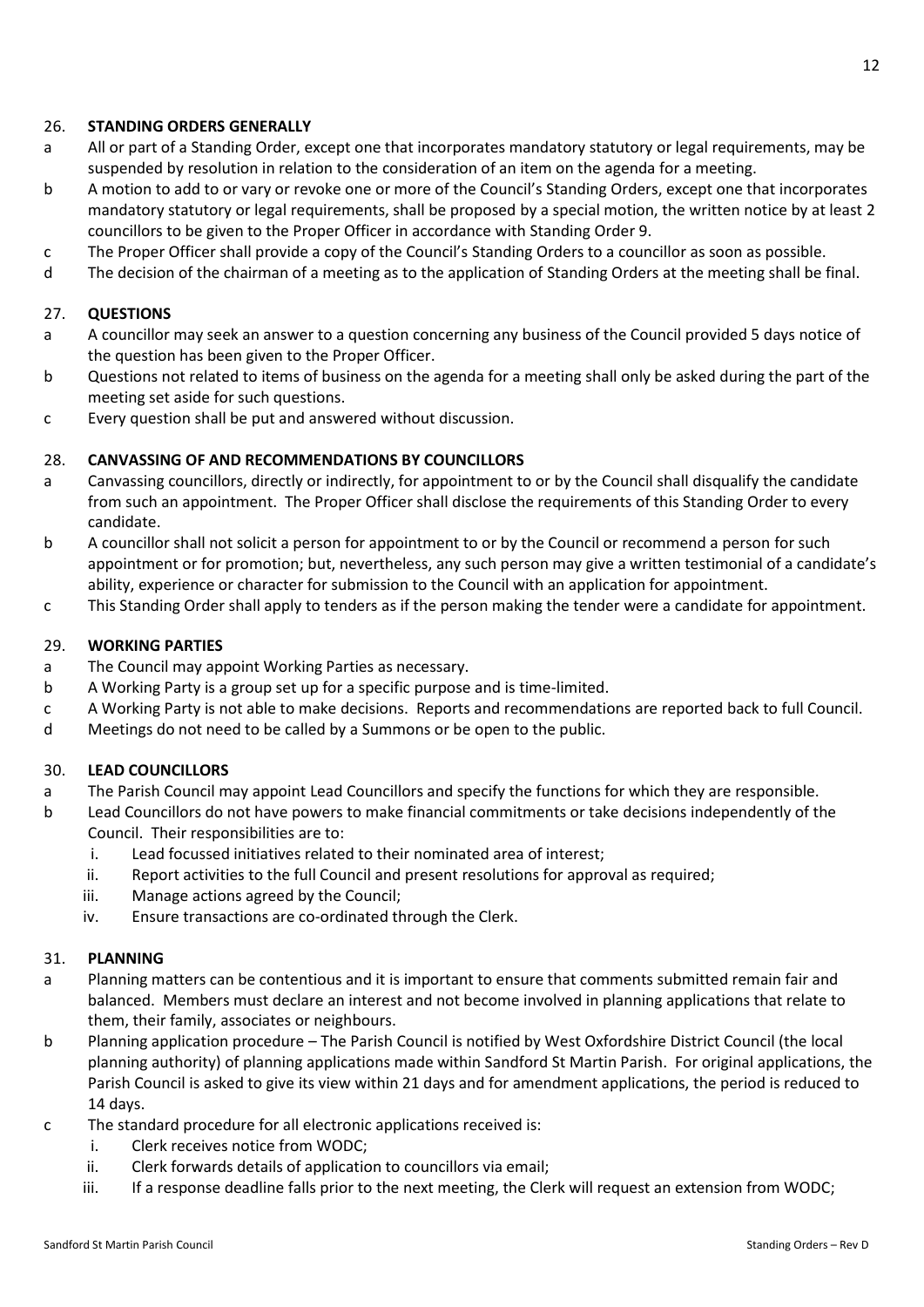# 26. **STANDING ORDERS GENERALLY**

- a All or part of a Standing Order, except one that incorporates mandatory statutory or legal requirements, may be suspended by resolution in relation to the consideration of an item on the agenda for a meeting.
- b A motion to add to or vary or revoke one or more of the Council's Standing Orders, except one that incorporates mandatory statutory or legal requirements, shall be proposed by a special motion, the written notice by at least 2 councillors to be given to the Proper Officer in accordance with Standing Order 9.
- c The Proper Officer shall provide a copy of the Council's Standing Orders to a councillor as soon as possible.
- d The decision of the chairman of a meeting as to the application of Standing Orders at the meeting shall be final.

### 27. **QUESTIONS**

- a A councillor may seek an answer to a question concerning any business of the Council provided 5 days notice of the question has been given to the Proper Officer.
- b Questions not related to items of business on the agenda for a meeting shall only be asked during the part of the meeting set aside for such questions.
- c Every question shall be put and answered without discussion.

### 28. **CANVASSING OF AND RECOMMENDATIONS BY COUNCILLORS**

- a Canvassing councillors, directly or indirectly, for appointment to or by the Council shall disqualify the candidate from such an appointment. The Proper Officer shall disclose the requirements of this Standing Order to every candidate.
- b A councillor shall not solicit a person for appointment to or by the Council or recommend a person for such appointment or for promotion; but, nevertheless, any such person may give a written testimonial of a candidate's ability, experience or character for submission to the Council with an application for appointment.
- c This Standing Order shall apply to tenders as if the person making the tender were a candidate for appointment.

# 29. **WORKING PARTIES**

- a The Council may appoint Working Parties as necessary.
- b A Working Party is a group set up for a specific purpose and is time-limited.
- c A Working Party is not able to make decisions. Reports and recommendations are reported back to full Council.
- d Meetings do not need to be called by a Summons or be open to the public.

### 30. **LEAD COUNCILLORS**

- a The Parish Council may appoint Lead Councillors and specify the functions for which they are responsible.
- b Lead Councillors do not have powers to make financial commitments or take decisions independently of the Council. Their responsibilities are to:
	- i. Lead focussed initiatives related to their nominated area of interest;
	- ii. Report activities to the full Council and present resolutions for approval as required;
	- iii. Manage actions agreed by the Council;
	- iv. Ensure transactions are co-ordinated through the Clerk.

### 31. **PLANNING**

- a Planning matters can be contentious and it is important to ensure that comments submitted remain fair and balanced. Members must declare an interest and not become involved in planning applications that relate to them, their family, associates or neighbours.
- b Planning application procedure The Parish Council is notified by West Oxfordshire District Council (the local planning authority) of planning applications made within Sandford St Martin Parish. For original applications, the Parish Council is asked to give its view within 21 days and for amendment applications, the period is reduced to 14 days.
- c The standard procedure for all electronic applications received is:
	- i. Clerk receives notice from WODC;
	- ii. Clerk forwards details of application to councillors via email;
	- iii. If a response deadline falls prior to the next meeting, the Clerk will request an extension from WODC;